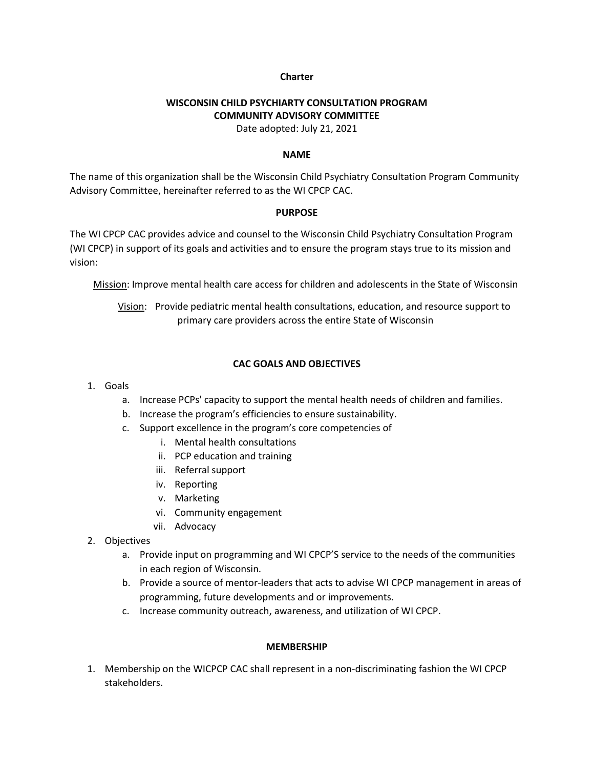### **Charter**

# **WISCONSIN CHILD PSYCHIARTY CONSULTATION PROGRAM COMMUNITY ADVISORY COMMITTEE**

Date adopted: July 21, 2021

### **NAME**

The name of this organization shall be the Wisconsin Child Psychiatry Consultation Program Community Advisory Committee, hereinafter referred to as the WI CPCP CAC.

### **PURPOSE**

The WI CPCP CAC provides advice and counsel to the Wisconsin Child Psychiatry Consultation Program (WI CPCP) in support of its goals and activities and to ensure the program stays true to its mission and vision:

Mission: Improve mental health care access for children and adolescents in the State of Wisconsin

Vision: Provide pediatric mental health consultations, education, and resource support to primary care providers across the entire State of Wisconsin

## **CAC GOALS AND OBJECTIVES**

- 1. Goals
	- a. Increase PCPs' capacity to support the mental health needs of children and families.
	- b. Increase the program's efficiencies to ensure sustainability.
	- c. Support excellence in the program's core competencies of
		- i. Mental health consultations
		- ii. PCP education and training
		- iii. Referral support
		- iv. Reporting
		- v. Marketing
		- vi. Community engagement
		- vii. Advocacy
- 2. Objectives
	- a. Provide input on programming and WI CPCP'S service to the needs of the communities in each region of Wisconsin.
	- b. Provide a source of mentor-leaders that acts to advise WI CPCP management in areas of programming, future developments and or improvements.
	- c. Increase community outreach, awareness, and utilization of WI CPCP.

## **MEMBERSHIP**

1. Membership on the WICPCP CAC shall represent in a non-discriminating fashion the WI CPCP stakeholders.